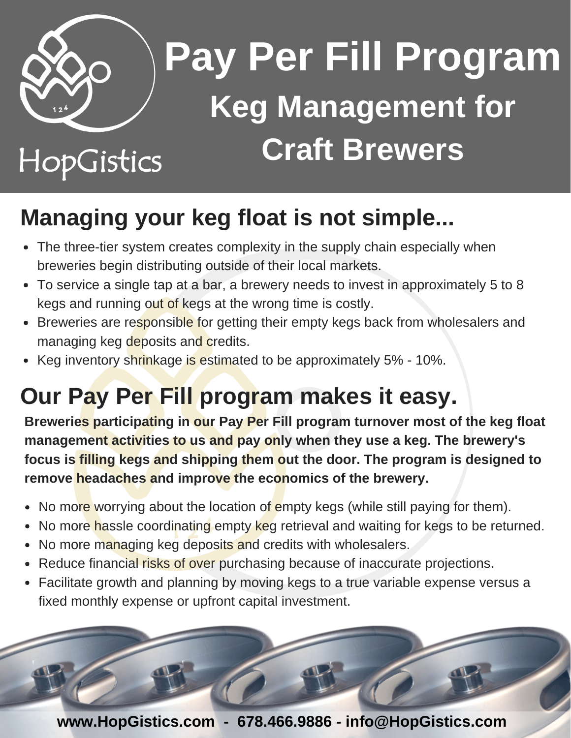

## **Pay Per Fill Program Keg Management for Craft Brewers**

## HopGistics

## **Managing your keg float is not simple...**

- The three-tier system creates complexity in the supply chain especially when breweries begin distributing outside of their local markets.
- To service a single tap at a bar, a brewery needs to invest in approximately 5 to 8 kegs and running out of kegs at the wrong time is costly.
- Breweries are responsible for getting their empty kegs back from wholesalers and managing keg deposits and credits.
- Keg inventory shrinkage is estimated to be approximately 5% 10%.

## **Our Pay Per Fill program makes it easy.**

**Breweries participating in our Pay Per Fill program turnover most of the keg float management activities to us and pay only when they use a keg. The brewery's focus is filling kegs and shipping them out the door. The program is designed to remove headaches and improve the economics of the brewery.**

- No more worrying about the location of empty kegs (while still paying for them).
- No more hassle coordinating empty keg retrieval and waiting for kegs to be returned.  $\bullet$
- No more managing keg deposits and credits with wholesalers.
- Reduce financial risks of over purchasing because of inaccurate projections.
- Facilitate growth and planning by moving kegs to a true variable expense versus a fixed monthly expense or upfront capital investment.



**www.HopGistics.com - 678.466.9886 - info@HopGistics.com**